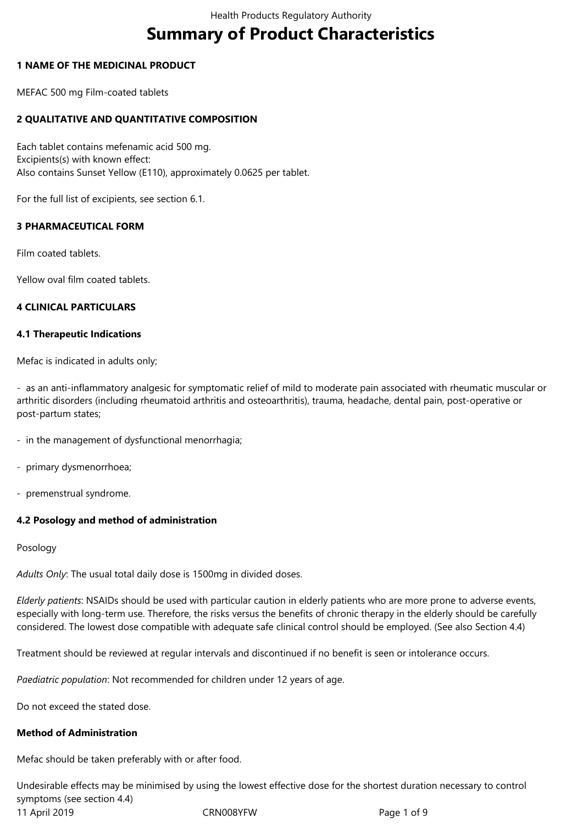# **Summary of Product Characteristics**

## **1 NAME OF THE MEDICINAL PRODUCT**

MEFAC 500 mg Film-coated tablets

## **2 QUALITATIVE AND QUANTITATIVE COMPOSITION**

Each tablet contains mefenamic acid 500 mg. Excipients(s) with known effect: Also contains Sunset Yellow (E110), approximately 0.0625 per tablet.

For the full list of excipients, see section 6.1.

## **3 PHARMACEUTICAL FORM**

Film coated tablets.

Yellow oval film coated tablets.

#### **4 CLINICAL PARTICULARS**

#### **4.1 Therapeutic Indications**

Mefac is indicated in adults only;

- as an anti-inflammatory analgesic for symptomatic relief of mild to moderate pain associated with rheumatic muscular or arthritic disorders (including rheumatoid arthritis and osteoarthritis), trauma, headache, dental pain, post-operative or post-partum states;

- in the management of dysfunctional menorrhagia;
- primary dysmenorrhoea;
- premenstrual syndrome.

## **4.2 Posology and method of administration**

Posology

*Adults Only*: The usual total daily dose is 1500mg in divided doses.

*Elderly patients*: NSAIDs should be used with particular caution in elderly patients who are more prone to adverse events, especially with long-term use. Therefore, the risks versus the benefits of chronic therapy in the elderly should be carefully considered. The lowest dose compatible with adequate safe clinical control should be employed. (See also Section 4.4)

Treatment should be reviewed at regular intervals and discontinued if no benefit is seen or intolerance occurs.

*Paediatric population*: Not recommended for children under 12 years of age.

Do not exceed the stated dose.

## **Method of Administration**

Mefac should be taken preferably with or after food.

11 April 2019 CRN008YFW Page 1 of 9 Undesirable effects may be minimised by using the lowest effective dose for the shortest duration necessary to control symptoms (see section 4.4)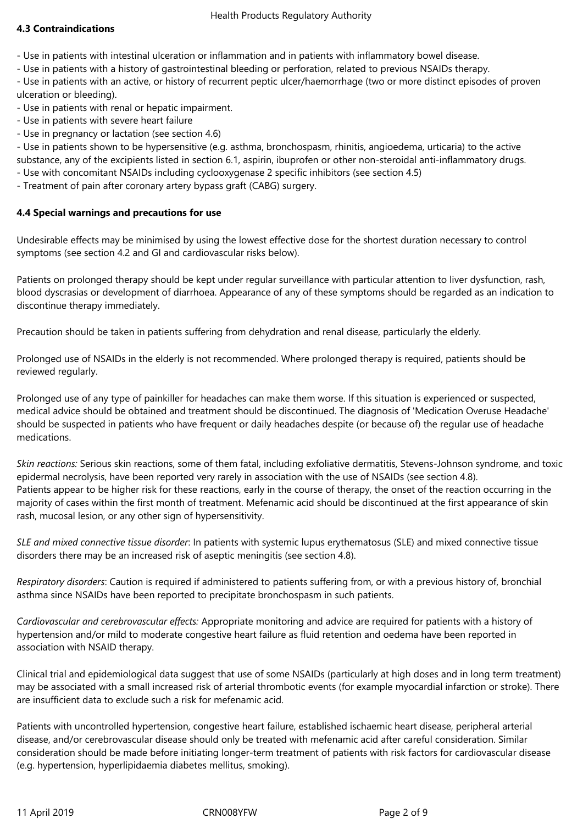# **4.3 Contraindications**

- Use in patients with intestinal ulceration or inflammation and in patients with inflammatory bowel disease.

- Use in patients with a history of gastrointestinal bleeding or perforation, related to previous NSAIDs therapy.

- Use in patients with an active, or history of recurrent peptic ulcer/haemorrhage (two or more distinct episodes of proven ulceration or bleeding).

- Use in patients with renal or hepatic impairment.

- Use in patients with severe heart failure
- Use in pregnancy or lactation (see section 4.6)

- Use in patients shown to be hypersensitive (e.g. asthma, bronchospasm, rhinitis, angioedema, urticaria) to the active substance, any of the excipients listed in section 6.1, aspirin, ibuprofen or other non-steroidal anti-inflammatory drugs.

- Use with concomitant NSAIDs including cyclooxygenase 2 specific inhibitors (see section 4.5)
- Treatment of pain after coronary artery bypass graft (CABG) surgery.

# **4.4 Special warnings and precautions for use**

Undesirable effects may be minimised by using the lowest effective dose for the shortest duration necessary to control symptoms (see section 4.2 and GI and cardiovascular risks below).

Patients on prolonged therapy should be kept under regular surveillance with particular attention to liver dysfunction, rash, blood dyscrasias or development of diarrhoea. Appearance of any of these symptoms should be regarded as an indication to discontinue therapy immediately.

Precaution should be taken in patients suffering from dehydration and renal disease, particularly the elderly.

Prolonged use of NSAIDs in the elderly is not recommended. Where prolonged therapy is required, patients should be reviewed regularly.

Prolonged use of any type of painkiller for headaches can make them worse. If this situation is experienced or suspected, medical advice should be obtained and treatment should be discontinued. The diagnosis of 'Medication Overuse Headache' should be suspected in patients who have frequent or daily headaches despite (or because of) the regular use of headache medications.

*Skin reactions:* Serious skin reactions, some of them fatal, including exfoliative dermatitis, Stevens-Johnson syndrome, and toxic epidermal necrolysis, have been reported very rarely in association with the use of NSAIDs (see section 4.8). Patients appear to be higher risk for these reactions, early in the course of therapy, the onset of the reaction occurring in the majority of cases within the first month of treatment. Mefenamic acid should be discontinued at the first appearance of skin rash, mucosal lesion, or any other sign of hypersensitivity.

*SLE and mixed connective tissue disorder*: In patients with systemic lupus erythematosus (SLE) and mixed connective tissue disorders there may be an increased risk of aseptic meningitis (see section 4.8).

*Respiratory disorders*: Caution is required if administered to patients suffering from, or with a previous history of, bronchial asthma since NSAIDs have been reported to precipitate bronchospasm in such patients.

*Cardiovascular and cerebrovascular effects:* Appropriate monitoring and advice are required for patients with a history of hypertension and/or mild to moderate congestive heart failure as fluid retention and oedema have been reported in association with NSAID therapy.

Clinical trial and epidemiological data suggest that use of some NSAIDs (particularly at high doses and in long term treatment) may be associated with a small increased risk of arterial thrombotic events (for example myocardial infarction or stroke). There are insufficient data to exclude such a risk for mefenamic acid.

Patients with uncontrolled hypertension, congestive heart failure, established ischaemic heart disease, peripheral arterial disease, and/or cerebrovascular disease should only be treated with mefenamic acid after careful consideration. Similar consideration should be made before initiating longer-term treatment of patients with risk factors for cardiovascular disease (e.g. hypertension, hyperlipidaemia diabetes mellitus, smoking).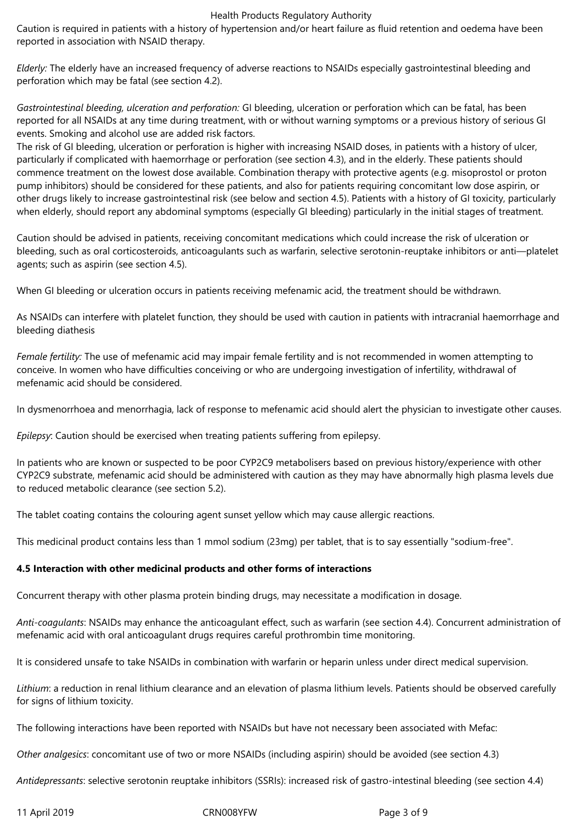Caution is required in patients with a history of hypertension and/or heart failure as fluid retention and oedema have been reported in association with NSAID therapy.

*Elderly:* The elderly have an increased frequency of adverse reactions to NSAIDs especially gastrointestinal bleeding and perforation which may be fatal (see section 4.2).

*Gastrointestinal bleeding, ulceration and perforation:* GI bleeding, ulceration or perforation which can be fatal, has been reported for all NSAIDs at any time during treatment, with or without warning symptoms or a previous history of serious GI events. Smoking and alcohol use are added risk factors.

The risk of GI bleeding, ulceration or perforation is higher with increasing NSAID doses, in patients with a history of ulcer, particularly if complicated with haemorrhage or perforation (see section 4.3), and in the elderly. These patients should commence treatment on the lowest dose available. Combination therapy with protective agents (e.g. misoprostol or proton pump inhibitors) should be considered for these patients, and also for patients requiring concomitant low dose aspirin, or other drugs likely to increase gastrointestinal risk (see below and section 4.5). Patients with a history of GI toxicity, particularly when elderly, should report any abdominal symptoms (especially GI bleeding) particularly in the initial stages of treatment.

Caution should be advised in patients, receiving concomitant medications which could increase the risk of ulceration or bleeding, such as oral corticosteroids, anticoagulants such as warfarin, selective serotonin-reuptake inhibitors or anti—platelet agents; such as aspirin (see section 4.5).

When GI bleeding or ulceration occurs in patients receiving mefenamic acid, the treatment should be withdrawn.

As NSAIDs can interfere with platelet function, they should be used with caution in patients with intracranial haemorrhage and bleeding diathesis

*Female fertility:* The use of mefenamic acid may impair female fertility and is not recommended in women attempting to conceive. In women who have difficulties conceiving or who are undergoing investigation of infertility, withdrawal of mefenamic acid should be considered.

In dysmenorrhoea and menorrhagia, lack of response to mefenamic acid should alert the physician to investigate other causes.

*Epilepsy*: Caution should be exercised when treating patients suffering from epilepsy.

In patients who are known or suspected to be poor CYP2C9 metabolisers based on previous history/experience with other CYP2C9 substrate, mefenamic acid should be administered with caution as they may have abnormally high plasma levels due to reduced metabolic clearance (see section 5.2).

The tablet coating contains the colouring agent sunset yellow which may cause allergic reactions.

This medicinal product contains less than 1 mmol sodium (23mg) per tablet, that is to say essentially "sodium-free".

## **4.5 Interaction with other medicinal products and other forms of interactions**

Concurrent therapy with other plasma protein binding drugs, may necessitate a modification in dosage.

*Anti-coagulants*: NSAIDs may enhance the anticoagulant effect, such as warfarin (see section 4.4). Concurrent administration of mefenamic acid with oral anticoagulant drugs requires careful prothrombin time monitoring.

It is considered unsafe to take NSAIDs in combination with warfarin or heparin unless under direct medical supervision.

*Lithium*: a reduction in renal lithium clearance and an elevation of plasma lithium levels. Patients should be observed carefully for signs of lithium toxicity.

The following interactions have been reported with NSAIDs but have not necessary been associated with Mefac:

*Other analgesics*: concomitant use of two or more NSAIDs (including aspirin) should be avoided (see section 4.3)

*Antidepressants*: selective serotonin reuptake inhibitors (SSRIs): increased risk of gastro-intestinal bleeding (see section 4.4)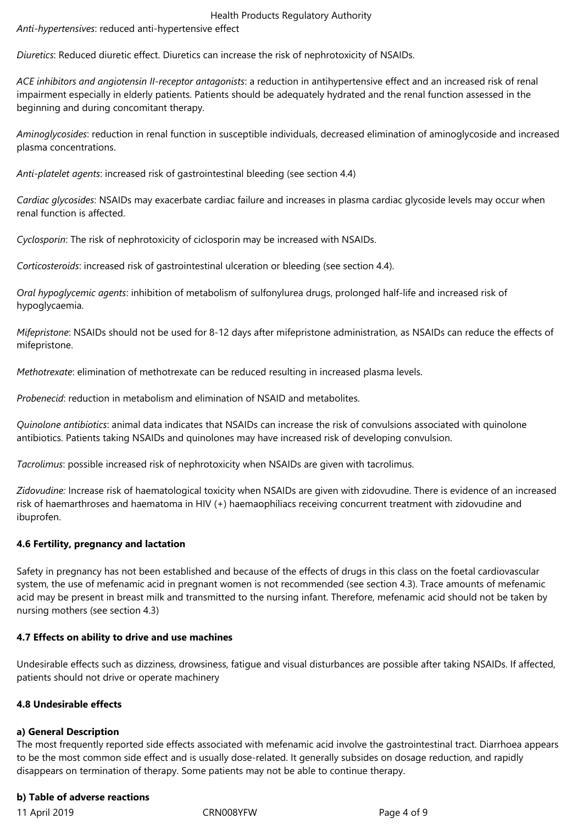*Anti-hypertensives*: reduced anti-hypertensive effect

*Diuretics*: Reduced diuretic effect. Diuretics can increase the risk of nephrotoxicity of NSAIDs.

*ACE inhibitors and angiotensin II-receptor antagonists*: a reduction in antihypertensive effect and an increased risk of renal impairment especially in elderly patients. Patients should be adequately hydrated and the renal function assessed in the beginning and during concomitant therapy.

*Aminoglycosides*: reduction in renal function in susceptible individuals, decreased elimination of aminoglycoside and increased plasma concentrations.

*Anti-platelet agents*: increased risk of gastrointestinal bleeding (see section 4.4)

*Cardiac glycosides*: NSAIDs may exacerbate cardiac failure and increases in plasma cardiac glycoside levels may occur when renal function is affected.

*Cyclosporin*: The risk of nephrotoxicity of ciclosporin may be increased with NSAIDs.

*Corticosteroids*: increased risk of gastrointestinal ulceration or bleeding (see section 4.4).

*Oral hypoglycemic agents*: inhibition of metabolism of sulfonylurea drugs, prolonged half-life and increased risk of hypoglycaemia.

*Mifepristone*: NSAIDs should not be used for 8-12 days after mifepristone administration, as NSAIDs can reduce the effects of mifepristone.

*Methotrexate*: elimination of methotrexate can be reduced resulting in increased plasma levels.

*Probenecid*: reduction in metabolism and elimination of NSAID and metabolites.

*Quinolone antibiotics*: animal data indicates that NSAIDs can increase the risk of convulsions associated with quinolone antibiotics. Patients taking NSAIDs and quinolones may have increased risk of developing convulsion.

*Tacrolimus*: possible increased risk of nephrotoxicity when NSAIDs are given with tacrolimus.

*Zidovudine:* Increase risk of haematological toxicity when NSAIDs are given with zidovudine. There is evidence of an increased risk of haemarthroses and haematoma in HIV (+) haemaophiliacs receiving concurrent treatment with zidovudine and ibuprofen.

## **4.6 Fertility, pregnancy and lactation**

Safety in pregnancy has not been established and because of the effects of drugs in this class on the foetal cardiovascular system, the use of mefenamic acid in pregnant women is not recommended (see section 4.3). Trace amounts of mefenamic acid may be present in breast milk and transmitted to the nursing infant. Therefore, mefenamic acid should not be taken by nursing mothers (see section 4.3)

## **4.7 Effects on ability to drive and use machines**

Undesirable effects such as dizziness, drowsiness, fatigue and visual disturbances are possible after taking NSAIDs. If affected, patients should not drive or operate machinery

## **4.8 Undesirable effects**

## **a) General Description**

The most frequently reported side effects associated with mefenamic acid involve the gastrointestinal tract. Diarrhoea appears to be the most common side effect and is usually dose-related. It generally subsides on dosage reduction, and rapidly disappears on termination of therapy. Some patients may not be able to continue therapy.

## **b) Table of adverse reactions**

11 April 2019 CRN008YFW Page 4 of 9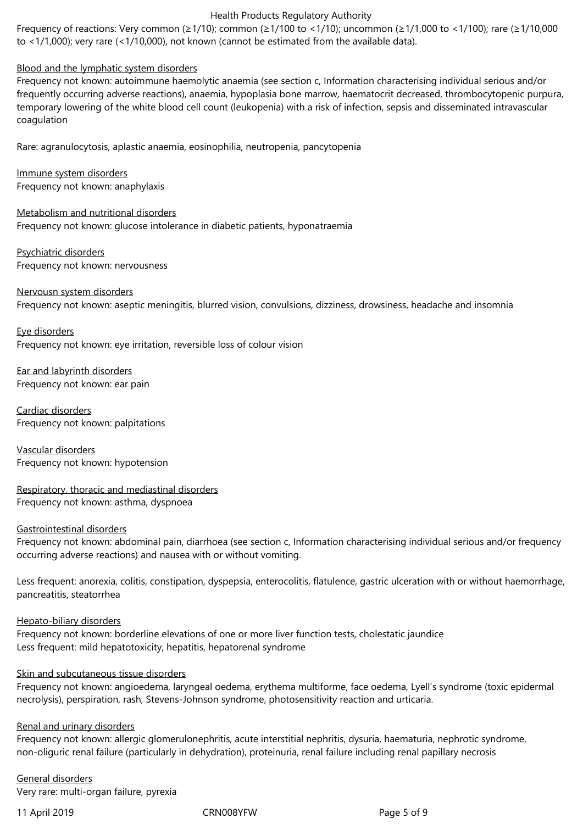Frequency of reactions: Very common (≥1/10); common (≥1/100 to <1/10); uncommon (≥1/1,000 to <1/100); rare (≥1/10,000 to <1/1,000); very rare (<1/10,000), not known (cannot be estimated from the available data).

## Blood and the lymphatic system disorders

Frequency not known: autoimmune haemolytic anaemia (see section c, Information characterising individual serious and/or frequently occurring adverse reactions), anaemia, hypoplasia bone marrow, haematocrit decreased, thrombocytopenic purpura, temporary lowering of the white blood cell count (leukopenia) with a risk of infection, sepsis and disseminated intravascular coagulation

Rare: agranulocytosis, aplastic anaemia, eosinophilia, neutropenia, pancytopenia

Immune system disorders Frequency not known: anaphylaxis

Metabolism and nutritional disorders Frequency not known: glucose intolerance in diabetic patients, hyponatraemia

Psychiatric disorders Frequency not known: nervousness

Nervousn system disorders Frequency not known: aseptic meningitis, blurred vision, convulsions, dizziness, drowsiness, headache and insomnia

Eye disorders Frequency not known: eye irritation, reversible loss of colour vision

Ear and labyrinth disorders Frequency not known: ear pain

Cardiac disorders Frequency not known: palpitations

Vascular disorders Frequency not known: hypotension

Respiratory, thoracic and mediastinal disorders Frequency not known: asthma, dyspnoea

## Gastrointestinal disorders

Frequency not known: abdominal pain, diarrhoea (see section c, Information characterising individual serious and/or frequency occurring adverse reactions) and nausea with or without vomiting.

Less frequent: anorexia, colitis, constipation, dyspepsia, enterocolitis, flatulence, gastric ulceration with or without haemorrhage, pancreatitis, steatorrhea

Hepato-biliary disorders

Frequency not known: borderline elevations of one or more liver function tests, cholestatic jaundice Less frequent: mild hepatotoxicity, hepatitis, hepatorenal syndrome

## Skin and subcutaneous tissue disorders

Frequency not known: angioedema, laryngeal oedema, erythema multiforme, face oedema, Lyell's syndrome (toxic epidermal necrolysis), perspiration, rash, Stevens-Johnson syndrome, photosensitivity reaction and urticaria.

## Renal and urinary disorders

Frequency not known: allergic glomerulonephritis, acute interstitial nephritis, dysuria, haematuria, nephrotic syndrome, non-oliguric renal failure (particularly in dehydration), proteinuria, renal failure including renal papillary necrosis

General disorders Very rare: multi-organ failure, pyrexia

11 April 2019 CRN008YFW Page 5 of 9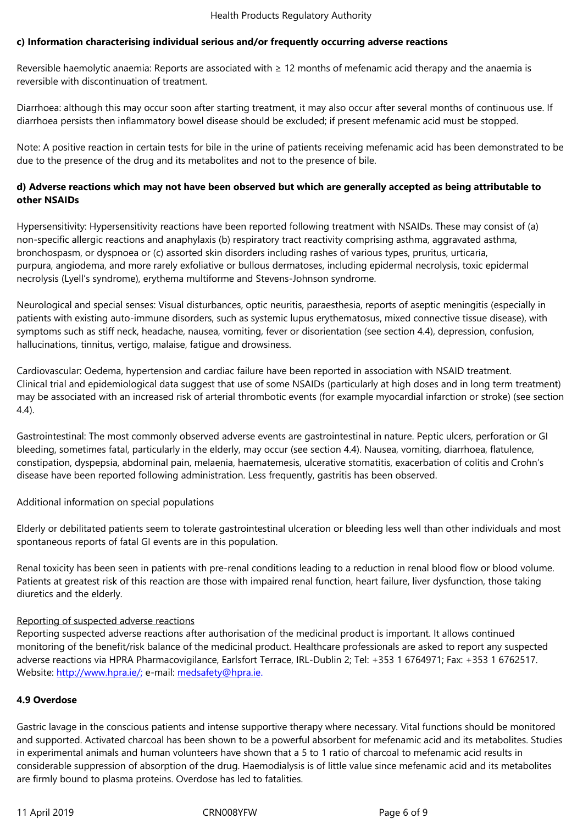Reversible haemolytic anaemia: Reports are associated with  $\geq 12$  months of mefenamic acid therapy and the anaemia is reversible with discontinuation of treatment.

Diarrhoea: although this may occur soon after starting treatment, it may also occur after several months of continuous use. If diarrhoea persists then inflammatory bowel disease should be excluded; if present mefenamic acid must be stopped.

Note: A positive reaction in certain tests for bile in the urine of patients receiving mefenamic acid has been demonstrated to be due to the presence of the drug and its metabolites and not to the presence of bile.

# **d) Adverse reactions which may not have been observed but which are generally accepted as being attributable to other NSAIDs**

Hypersensitivity: Hypersensitivity reactions have been reported following treatment with NSAIDs. These may consist of (a) non-specific allergic reactions and anaphylaxis (b) respiratory tract reactivity comprising asthma, aggravated asthma, bronchospasm, or dyspnoea or (c) assorted skin disorders including rashes of various types, pruritus, urticaria, purpura, angiodema, and more rarely exfoliative or bullous dermatoses, including epidermal necrolysis, toxic epidermal necrolysis (Lyell's syndrome), erythema multiforme and Stevens-Johnson syndrome.

Neurological and special senses: Visual disturbances, optic neuritis, paraesthesia, reports of aseptic meningitis (especially in patients with existing auto-immune disorders, such as systemic lupus erythematosus, mixed connective tissue disease), with symptoms such as stiff neck, headache, nausea, vomiting, fever or disorientation (see section 4.4), depression, confusion, hallucinations, tinnitus, vertigo, malaise, fatigue and drowsiness.

Cardiovascular: Oedema, hypertension and cardiac failure have been reported in association with NSAID treatment. Clinical trial and epidemiological data suggest that use of some NSAIDs (particularly at high doses and in long term treatment) may be associated with an increased risk of arterial thrombotic events (for example myocardial infarction or stroke) (see section 4.4).

Gastrointestinal: The most commonly observed adverse events are gastrointestinal in nature. Peptic ulcers, perforation or GI bleeding, sometimes fatal, particularly in the elderly, may occur (see section 4.4). Nausea, vomiting, diarrhoea, flatulence, constipation, dyspepsia, abdominal pain, melaenia, haematemesis, ulcerative stomatitis, exacerbation of colitis and Crohn's disease have been reported following administration. Less frequently, gastritis has been observed.

Additional information on special populations

Elderly or debilitated patients seem to tolerate gastrointestinal ulceration or bleeding less well than other individuals and most spontaneous reports of fatal GI events are in this population.

Renal toxicity has been seen in patients with pre-renal conditions leading to a reduction in renal blood flow or blood volume. Patients at greatest risk of this reaction are those with impaired renal function, heart failure, liver dysfunction, those taking diuretics and the elderly.

# Reporting of suspected adverse reactions

Reporting suspected adverse reactions after authorisation of the medicinal product is important. It allows continued monitoring of the benefit/risk balance of the medicinal product. Healthcare professionals are asked to report any suspected adverse reactions via HPRA Pharmacovigilance, Earlsfort Terrace, IRL-Dublin 2; Tel: +353 1 6764971; Fax: +353 1 6762517. Website: http://www.hpra.ie/; e-mail: medsafety@hpra.ie.

## **4.9 Overdose**

Gastric la[vage in the consciou](http://www.hpra.ie/)s patie[nts and intense supp](mailto:medsafety@hpra.ie)ortive therapy where necessary. Vital functions should be monitored and supported. Activated charcoal has been shown to be a powerful absorbent for mefenamic acid and its metabolites. Studies in experimental animals and human volunteers have shown that a 5 to 1 ratio of charcoal to mefenamic acid results in considerable suppression of absorption of the drug. Haemodialysis is of little value since mefenamic acid and its metabolites are firmly bound to plasma proteins. Overdose has led to fatalities.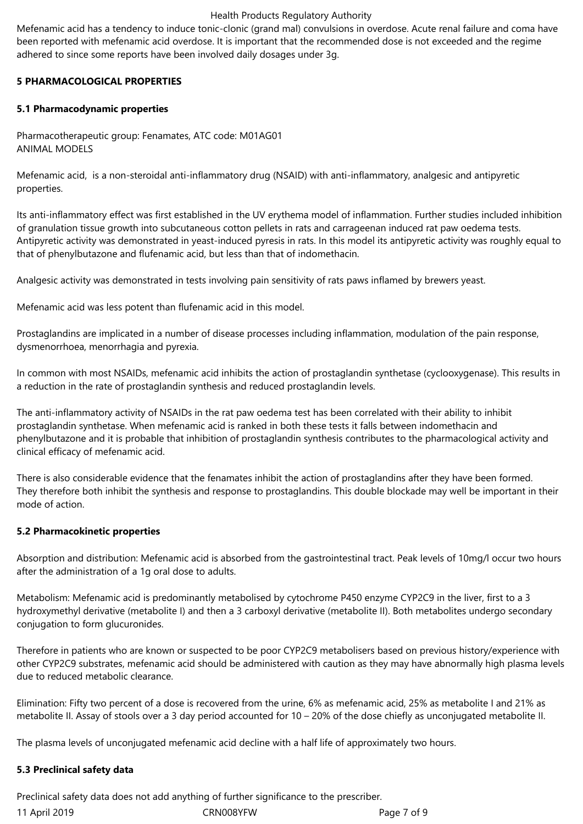Mefenamic acid has a tendency to induce tonic-clonic (grand mal) convulsions in overdose. Acute renal failure and coma have been reported with mefenamic acid overdose. It is important that the recommended dose is not exceeded and the regime adhered to since some reports have been involved daily dosages under 3g.

# **5 PHARMACOLOGICAL PROPERTIES**

# **5.1 Pharmacodynamic properties**

Pharmacotherapeutic group: Fenamates, ATC code: M01AG01 ANIMAL MODELS

Mefenamic acid, is a non-steroidal anti-inflammatory drug (NSAID) with anti-inflammatory, analgesic and antipyretic properties.

Its anti-inflammatory effect was first established in the UV erythema model of inflammation. Further studies included inhibition of granulation tissue growth into subcutaneous cotton pellets in rats and carrageenan induced rat paw oedema tests. Antipyretic activity was demonstrated in yeast-induced pyresis in rats. In this model its antipyretic activity was roughly equal to that of phenylbutazone and flufenamic acid, but less than that of indomethacin.

Analgesic activity was demonstrated in tests involving pain sensitivity of rats paws inflamed by brewers yeast.

Mefenamic acid was less potent than flufenamic acid in this model.

Prostaglandins are implicated in a number of disease processes including inflammation, modulation of the pain response, dysmenorrhoea, menorrhagia and pyrexia.

In common with most NSAIDs, mefenamic acid inhibits the action of prostaglandin synthetase (cyclooxygenase). This results in a reduction in the rate of prostaglandin synthesis and reduced prostaglandin levels.

The anti-inflammatory activity of NSAIDs in the rat paw oedema test has been correlated with their ability to inhibit prostaglandin synthetase. When mefenamic acid is ranked in both these tests it falls between indomethacin and phenylbutazone and it is probable that inhibition of prostaglandin synthesis contributes to the pharmacological activity and clinical efficacy of mefenamic acid.

There is also considerable evidence that the fenamates inhibit the action of prostaglandins after they have been formed. They therefore both inhibit the synthesis and response to prostaglandins. This double blockade may well be important in their mode of action.

# **5.2 Pharmacokinetic properties**

Absorption and distribution: Mefenamic acid is absorbed from the gastrointestinal tract. Peak levels of 10mg/l occur two hours after the administration of a 1g oral dose to adults.

Metabolism: Mefenamic acid is predominantly metabolised by cytochrome P450 enzyme CYP2C9 in the liver, first to a 3 hydroxymethyl derivative (metabolite I) and then a 3 carboxyl derivative (metabolite II). Both metabolites undergo secondary conjugation to form glucuronides.

Therefore in patients who are known or suspected to be poor CYP2C9 metabolisers based on previous history/experience with other CYP2C9 substrates, mefenamic acid should be administered with caution as they may have abnormally high plasma levels due to reduced metabolic clearance.

Elimination: Fifty two percent of a dose is recovered from the urine, 6% as mefenamic acid, 25% as metabolite I and 21% as metabolite II. Assay of stools over a 3 day period accounted for 10 – 20% of the dose chiefly as unconjugated metabolite II.

The plasma levels of unconjugated mefenamic acid decline with a half life of approximately two hours.

## **5.3 Preclinical safety data**

11 April 2019 CRN008YFW Page 7 of 9 Preclinical safety data does not add anything of further significance to the prescriber.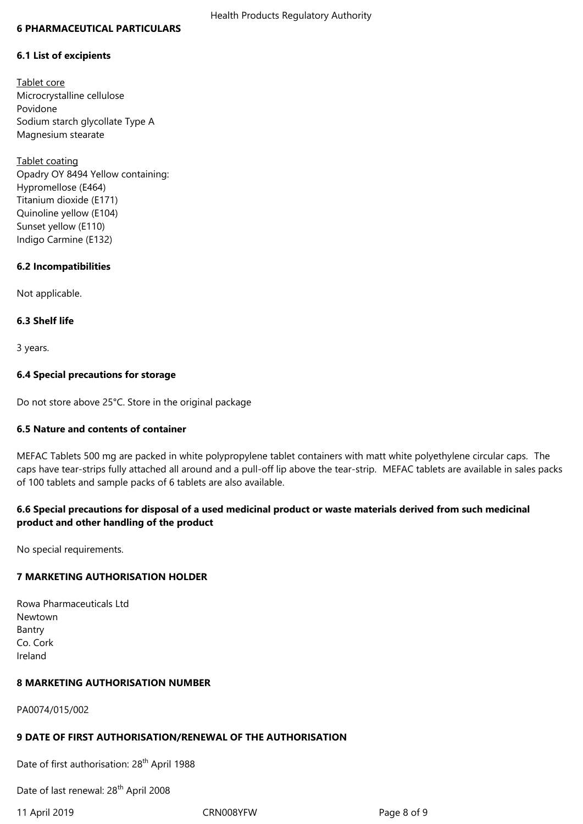#### **6 PHARMACEUTICAL PARTICULARS**

#### **6.1 List of excipients**

Tablet core Microcrystalline cellulose Povidone Sodium starch glycollate Type A Magnesium stearate

Tablet coating Opadry OY 8494 Yellow containing: Hypromellose (E464) Titanium dioxide (E171) Quinoline yellow (E104) Sunset yellow (E110) Indigo Carmine (E132)

## **6.2 Incompatibilities**

Not applicable.

#### **6.3 Shelf life**

3 years.

### **6.4 Special precautions for storage**

Do not store above 25°C. Store in the original package

## **6.5 Nature and contents of container**

MEFAC Tablets 500 mg are packed in white polypropylene tablet containers with matt white polyethylene circular caps. The caps have tear-strips fully attached all around and a pull-off lip above the tear-strip. MEFAC tablets are available in sales packs of 100 tablets and sample packs of 6 tablets are also available.

# **6.6 Special precautions for disposal of a used medicinal product or waste materials derived from such medicinal product and other handling of the product**

No special requirements.

## **7 MARKETING AUTHORISATION HOLDER**

Rowa Pharmaceuticals Ltd Newtown Bantry Co. Cork Ireland

### **8 MARKETING AUTHORISATION NUMBER**

PA0074/015/002

## **9 DATE OF FIRST AUTHORISATION/RENEWAL OF THE AUTHORISATION**

Date of first authorisation: 28<sup>th</sup> April 1988

Date of last renewal: 28<sup>th</sup> April 2008

11 April 2019 CRN008YFW Page 8 of 9